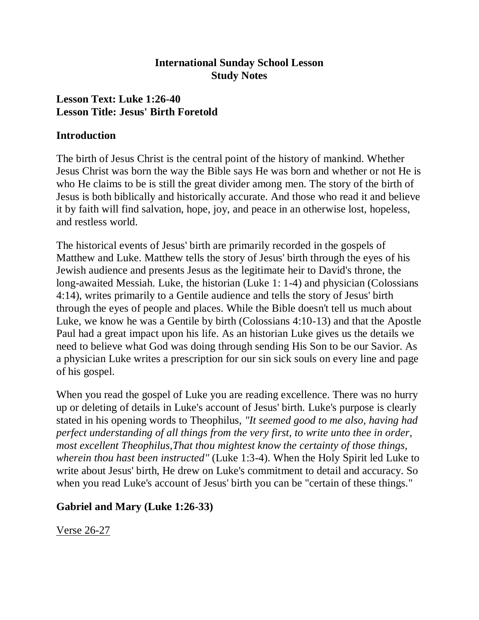#### **International Sunday School Lesson Study Notes**

### **Lesson Text: Luke 1:26-40 Lesson Title: Jesus' Birth Foretold**

#### **Introduction**

The birth of Jesus Christ is the central point of the history of mankind. Whether Jesus Christ was born the way the Bible says He was born and whether or not He is who He claims to be is still the great divider among men. The story of the birth of Jesus is both biblically and historically accurate. And those who read it and believe it by faith will find salvation, hope, joy, and peace in an otherwise lost, hopeless, and restless world.

The historical events of Jesus' birth are primarily recorded in the gospels of Matthew and Luke. Matthew tells the story of Jesus' birth through the eyes of his Jewish audience and presents Jesus as the legitimate heir to David's throne, the long-awaited Messiah. Luke, the historian (Luke 1: 1-4) and physician (Colossians 4:14), writes primarily to a Gentile audience and tells the story of Jesus' birth through the eyes of people and places. While the Bible doesn't tell us much about Luke, we know he was a Gentile by birth (Colossians 4:10-13) and that the Apostle Paul had a great impact upon his life. As an historian Luke gives us the details we need to believe what God was doing through sending His Son to be our Savior. As a physician Luke writes a prescription for our sin sick souls on every line and page of his gospel.

When you read the gospel of Luke you are reading excellence. There was no hurry up or deleting of details in Luke's account of Jesus' birth. Luke's purpose is clearly stated in his opening words to Theophilus, *"It seemed good to me also, having had perfect understanding of all things from the very first, to write unto thee in order, most excellent Theophilus,That thou mightest know the certainty of those things, wherein thou hast been instructed"* (Luke 1:3-4). When the Holy Spirit led Luke to write about Jesus' birth, He drew on Luke's commitment to detail and accuracy. So when you read Luke's account of Jesus' birth you can be "certain of these things."

#### **Gabriel and Mary (Luke 1:26-33)**

Verse 26-27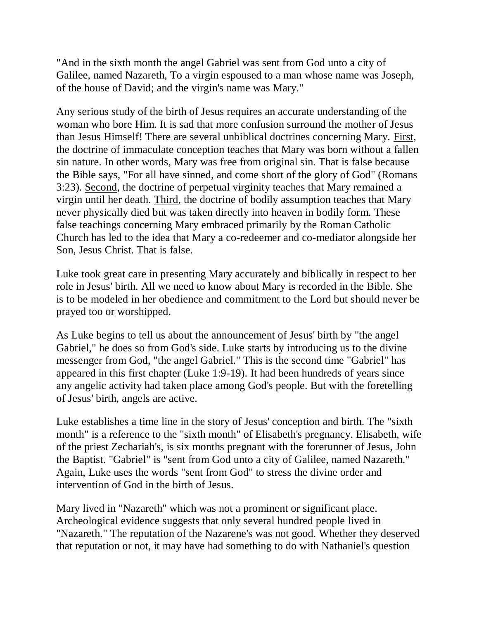"And in the sixth month the angel Gabriel was sent from God unto a city of Galilee, named Nazareth, To a virgin espoused to a man whose name was Joseph, of the house of David; and the virgin's name was Mary."

Any serious study of the birth of Jesus requires an accurate understanding of the woman who bore Him. It is sad that more confusion surround the mother of Jesus than Jesus Himself! There are several unbiblical doctrines concerning Mary. First, the doctrine of immaculate conception teaches that Mary was born without a fallen sin nature. In other words, Mary was free from original sin. That is false because the Bible says, "For all have sinned, and come short of the glory of God" (Romans 3:23). Second, the doctrine of perpetual virginity teaches that Mary remained a virgin until her death. Third, the doctrine of bodily assumption teaches that Mary never physically died but was taken directly into heaven in bodily form. These false teachings concerning Mary embraced primarily by the Roman Catholic Church has led to the idea that Mary a co-redeemer and co-mediator alongside her Son, Jesus Christ. That is false.

Luke took great care in presenting Mary accurately and biblically in respect to her role in Jesus' birth. All we need to know about Mary is recorded in the Bible. She is to be modeled in her obedience and commitment to the Lord but should never be prayed too or worshipped.

As Luke begins to tell us about the announcement of Jesus' birth by "the angel Gabriel," he does so from God's side. Luke starts by introducing us to the divine messenger from God, "the angel Gabriel." This is the second time "Gabriel" has appeared in this first chapter (Luke 1:9-19). It had been hundreds of years since any angelic activity had taken place among God's people. But with the foretelling of Jesus' birth, angels are active.

Luke establishes a time line in the story of Jesus' conception and birth. The "sixth month" is a reference to the "sixth month" of Elisabeth's pregnancy. Elisabeth, wife of the priest Zechariah's, is six months pregnant with the forerunner of Jesus, John the Baptist. "Gabriel" is "sent from God unto a city of Galilee, named Nazareth." Again, Luke uses the words "sent from God" to stress the divine order and intervention of God in the birth of Jesus.

Mary lived in "Nazareth" which was not a prominent or significant place. Archeological evidence suggests that only several hundred people lived in "Nazareth." The reputation of the Nazarene's was not good. Whether they deserved that reputation or not, it may have had something to do with Nathaniel's question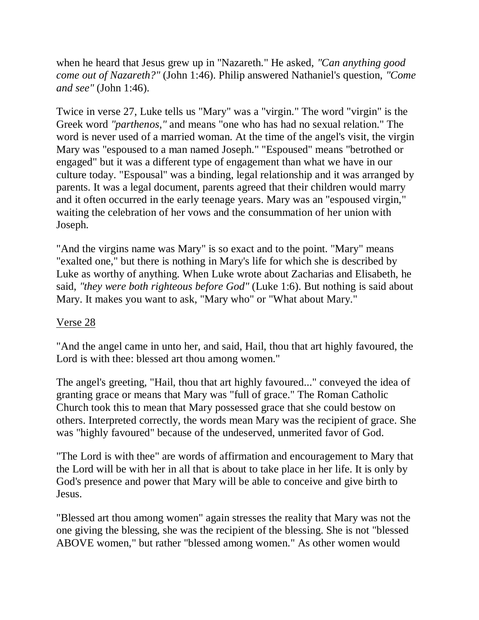when he heard that Jesus grew up in "Nazareth." He asked, *"Can anything good come out of Nazareth?"* (John 1:46). Philip answered Nathaniel's question, *"Come and see"* (John 1:46).

Twice in verse 27, Luke tells us "Mary" was a "virgin." The word "virgin" is the Greek word *"parthenos,"* and means "one who has had no sexual relation." The word is never used of a married woman. At the time of the angel's visit, the virgin Mary was "espoused to a man named Joseph." "Espoused" means "betrothed or engaged" but it was a different type of engagement than what we have in our culture today. "Espousal" was a binding, legal relationship and it was arranged by parents. It was a legal document, parents agreed that their children would marry and it often occurred in the early teenage years. Mary was an "espoused virgin," waiting the celebration of her vows and the consummation of her union with Joseph.

"And the virgins name was Mary" is so exact and to the point. "Mary" means "exalted one," but there is nothing in Mary's life for which she is described by Luke as worthy of anything. When Luke wrote about Zacharias and Elisabeth, he said, *"they were both righteous before God"* (Luke 1:6). But nothing is said about Mary. It makes you want to ask, "Mary who" or "What about Mary."

### Verse 28

"And the angel came in unto her, and said, Hail, thou that art highly favoured, the Lord is with thee: blessed art thou among women."

The angel's greeting, "Hail, thou that art highly favoured..." conveyed the idea of granting grace or means that Mary was "full of grace." The Roman Catholic Church took this to mean that Mary possessed grace that she could bestow on others. Interpreted correctly, the words mean Mary was the recipient of grace. She was "highly favoured" because of the undeserved, unmerited favor of God.

"The Lord is with thee" are words of affirmation and encouragement to Mary that the Lord will be with her in all that is about to take place in her life. It is only by God's presence and power that Mary will be able to conceive and give birth to Jesus.

"Blessed art thou among women" again stresses the reality that Mary was not the one giving the blessing, she was the recipient of the blessing. She is not "blessed ABOVE women," but rather "blessed among women." As other women would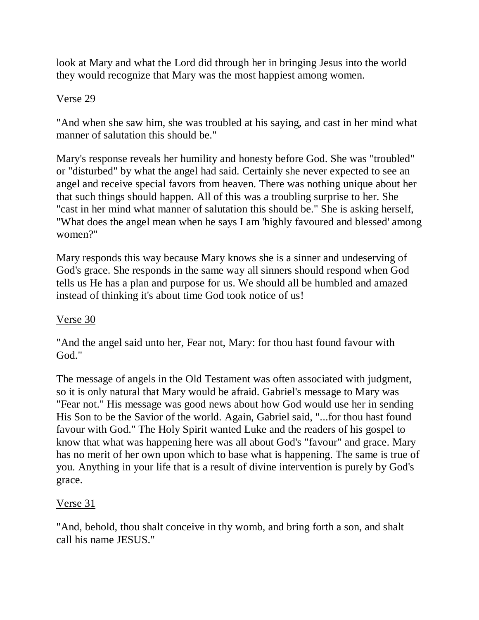look at Mary and what the Lord did through her in bringing Jesus into the world they would recognize that Mary was the most happiest among women.

#### Verse 29

"And when she saw him, she was troubled at his saying, and cast in her mind what manner of salutation this should be."

Mary's response reveals her humility and honesty before God. She was "troubled" or "disturbed" by what the angel had said. Certainly she never expected to see an angel and receive special favors from heaven. There was nothing unique about her that such things should happen. All of this was a troubling surprise to her. She "cast in her mind what manner of salutation this should be." She is asking herself, "What does the angel mean when he says I am 'highly favoured and blessed' among women?"

Mary responds this way because Mary knows she is a sinner and undeserving of God's grace. She responds in the same way all sinners should respond when God tells us He has a plan and purpose for us. We should all be humbled and amazed instead of thinking it's about time God took notice of us!

### Verse 30

"And the angel said unto her, Fear not, Mary: for thou hast found favour with God."

The message of angels in the Old Testament was often associated with judgment, so it is only natural that Mary would be afraid. Gabriel's message to Mary was "Fear not." His message was good news about how God would use her in sending His Son to be the Savior of the world. Again, Gabriel said, "...for thou hast found favour with God." The Holy Spirit wanted Luke and the readers of his gospel to know that what was happening here was all about God's "favour" and grace. Mary has no merit of her own upon which to base what is happening. The same is true of you. Anything in your life that is a result of divine intervention is purely by God's grace.

### Verse 31

"And, behold, thou shalt conceive in thy womb, and bring forth a son, and shalt call his name JESUS."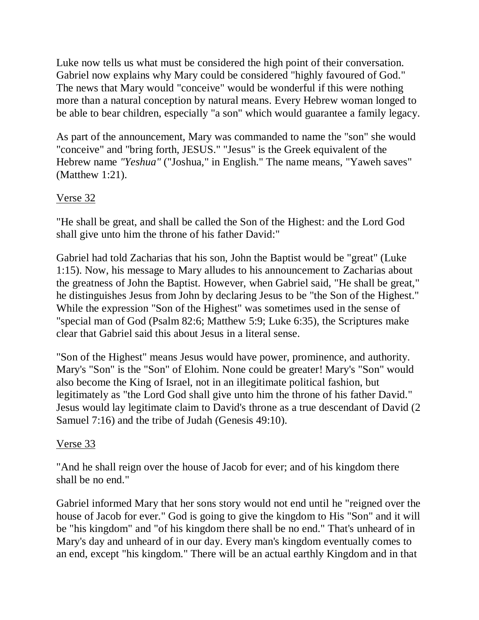Luke now tells us what must be considered the high point of their conversation. Gabriel now explains why Mary could be considered "highly favoured of God." The news that Mary would "conceive" would be wonderful if this were nothing more than a natural conception by natural means. Every Hebrew woman longed to be able to bear children, especially "a son" which would guarantee a family legacy.

As part of the announcement, Mary was commanded to name the "son" she would "conceive" and "bring forth, JESUS." "Jesus" is the Greek equivalent of the Hebrew name *"Yeshua"* ("Joshua," in English." The name means, "Yaweh saves" (Matthew 1:21).

### Verse 32

"He shall be great, and shall be called the Son of the Highest: and the Lord God shall give unto him the throne of his father David:"

Gabriel had told Zacharias that his son, John the Baptist would be "great" (Luke 1:15). Now, his message to Mary alludes to his announcement to Zacharias about the greatness of John the Baptist. However, when Gabriel said, "He shall be great," he distinguishes Jesus from John by declaring Jesus to be "the Son of the Highest." While the expression "Son of the Highest" was sometimes used in the sense of "special man of God (Psalm 82:6; Matthew 5:9; Luke 6:35), the Scriptures make clear that Gabriel said this about Jesus in a literal sense.

"Son of the Highest" means Jesus would have power, prominence, and authority. Mary's "Son" is the "Son" of Elohim. None could be greater! Mary's "Son" would also become the King of Israel, not in an illegitimate political fashion, but legitimately as "the Lord God shall give unto him the throne of his father David." Jesus would lay legitimate claim to David's throne as a true descendant of David (2 Samuel 7:16) and the tribe of Judah (Genesis 49:10).

### Verse 33

"And he shall reign over the house of Jacob for ever; and of his kingdom there shall be no end."

Gabriel informed Mary that her sons story would not end until he "reigned over the house of Jacob for ever." God is going to give the kingdom to His "Son" and it will be "his kingdom" and "of his kingdom there shall be no end." That's unheard of in Mary's day and unheard of in our day. Every man's kingdom eventually comes to an end, except "his kingdom." There will be an actual earthly Kingdom and in that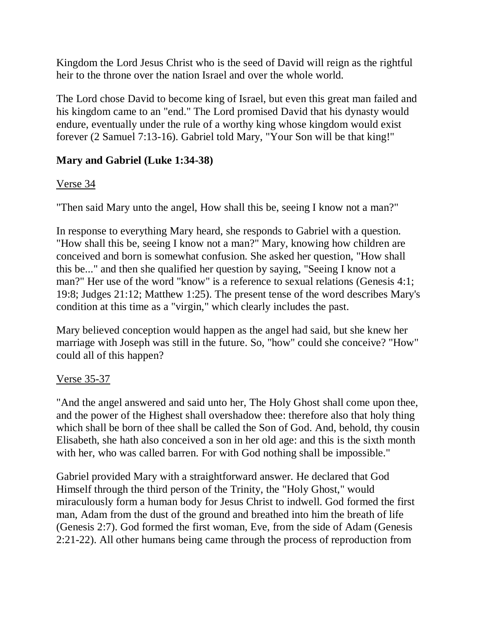Kingdom the Lord Jesus Christ who is the seed of David will reign as the rightful heir to the throne over the nation Israel and over the whole world.

The Lord chose David to become king of Israel, but even this great man failed and his kingdom came to an "end." The Lord promised David that his dynasty would endure, eventually under the rule of a worthy king whose kingdom would exist forever (2 Samuel 7:13-16). Gabriel told Mary, "Your Son will be that king!"

# **Mary and Gabriel (Luke 1:34-38)**

# Verse 34

"Then said Mary unto the angel, How shall this be, seeing I know not a man?"

In response to everything Mary heard, she responds to Gabriel with a question. "How shall this be, seeing I know not a man?" Mary, knowing how children are conceived and born is somewhat confusion. She asked her question, "How shall this be..." and then she qualified her question by saying, "Seeing I know not a man?" Her use of the word "know" is a reference to sexual relations (Genesis 4:1; 19:8; Judges 21:12; Matthew 1:25). The present tense of the word describes Mary's condition at this time as a "virgin," which clearly includes the past.

Mary believed conception would happen as the angel had said, but she knew her marriage with Joseph was still in the future. So, "how" could she conceive? "How" could all of this happen?

# Verse 35-37

"And the angel answered and said unto her, The Holy Ghost shall come upon thee, and the power of the Highest shall overshadow thee: therefore also that holy thing which shall be born of thee shall be called the Son of God. And, behold, thy cousin Elisabeth, she hath also conceived a son in her old age: and this is the sixth month with her, who was called barren. For with God nothing shall be impossible."

Gabriel provided Mary with a straightforward answer. He declared that God Himself through the third person of the Trinity, the "Holy Ghost," would miraculously form a human body for Jesus Christ to indwell. God formed the first man, Adam from the dust of the ground and breathed into him the breath of life (Genesis 2:7). God formed the first woman, Eve, from the side of Adam (Genesis 2:21-22). All other humans being came through the process of reproduction from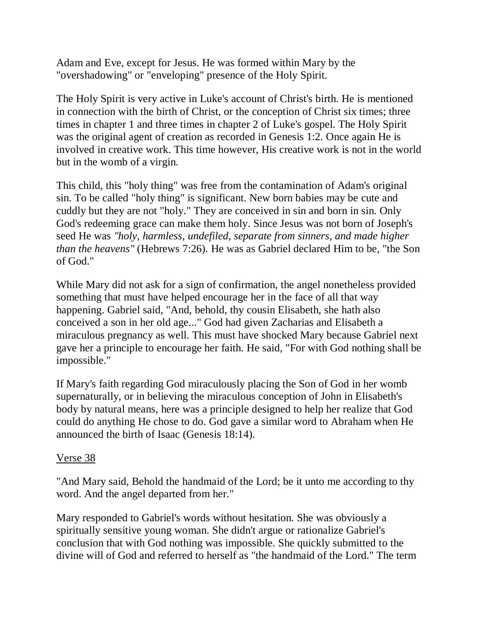Adam and Eve, except for Jesus. He was formed within Mary by the "overshadowing" or "enveloping" presence of the Holy Spirit.

The Holy Spirit is very active in Luke's account of Christ's birth. He is mentioned in connection with the birth of Christ, or the conception of Christ six times; three times in chapter 1 and three times in chapter 2 of Luke's gospel. The Holy Spirit was the original agent of creation as recorded in Genesis 1:2. Once again He is involved in creative work. This time however, His creative work is not in the world but in the womb of a virgin.

This child, this "holy thing" was free from the contamination of Adam's original sin. To be called "holy thing" is significant. New born babies may be cute and cuddly but they are not "holy." They are conceived in sin and born in sin. Only God's redeeming grace can make them holy. Since Jesus was not born of Joseph's seed He was *"holy, harmless, undefiled, separate from sinners, and made higher than the heavens"* (Hebrews 7:26). He was as Gabriel declared Him to be, "the Son of God."

While Mary did not ask for a sign of confirmation, the angel nonetheless provided something that must have helped encourage her in the face of all that way happening. Gabriel said, "And, behold, thy cousin Elisabeth, she hath also conceived a son in her old age..." God had given Zacharias and Elisabeth a miraculous pregnancy as well. This must have shocked Mary because Gabriel next gave her a principle to encourage her faith. He said, "For with God nothing shall be impossible."

If Mary's faith regarding God miraculously placing the Son of God in her womb supernaturally, or in believing the miraculous conception of John in Elisabeth's body by natural means, here was a principle designed to help her realize that God could do anything He chose to do. God gave a similar word to Abraham when He announced the birth of Isaac (Genesis 18:14).

### Verse 38

"And Mary said, Behold the handmaid of the Lord; be it unto me according to thy word. And the angel departed from her."

Mary responded to Gabriel's words without hesitation. She was obviously a spiritually sensitive young woman. She didn't argue or rationalize Gabriel's conclusion that with God nothing was impossible. She quickly submitted to the divine will of God and referred to herself as "the handmaid of the Lord." The term